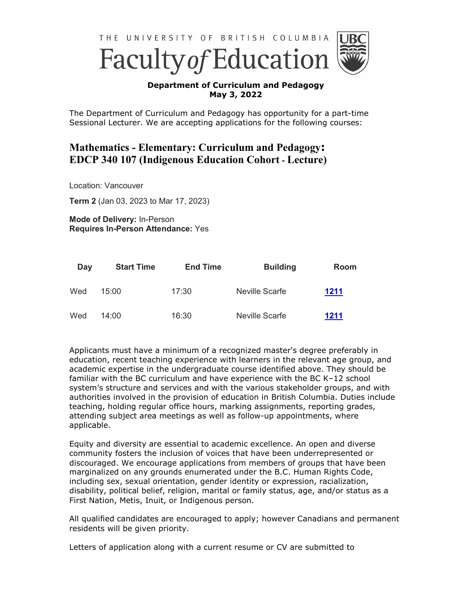

## **Department of Curriculum and Pedagogy May 3, 2022**

The Department of Curriculum and Pedagogy has opportunity for a part-time Sessional Lecturer. We are accepting applications for the following courses:

## **Mathematics - Elementary: Curriculum and Pedagogy: EDCP 340 107 (Indigenous Education Cohort - Lecture)**

Location: Vancouver

**Term 2** (Jan 03, 2023 to Mar 17, 2023)

**Mode of Delivery:** In-Person **Requires In-Person Attendance:** Yes

| Day | <b>Start Time</b> | <b>End Time</b> | <b>Building</b> | Room |
|-----|-------------------|-----------------|-----------------|------|
| Wed | 15:00             | 17:30           | Neville Scarfe  | 1211 |
| Wed | 14:00             | 16:30           | Neville Scarfe  | 1211 |

Applicants must have a minimum of a recognized master's degree preferably in education, recent teaching experience with learners in the relevant age group, and academic expertise in the undergraduate course identified above. They should be familiar with the BC curriculum and have experience with the BC K–12 school system's structure and services and with the various stakeholder groups, and with authorities involved in the provision of education in British Columbia. Duties include teaching, holding regular office hours, marking assignments, reporting grades, attending subject area meetings as well as follow-up appointments, where applicable.

Equity and diversity are essential to academic excellence. An open and diverse community fosters the inclusion of voices that have been underrepresented or discouraged. We encourage applications from members of groups that have been marginalized on any grounds enumerated under the B.C. Human Rights Code, including sex, sexual orientation, gender identity or expression, racialization, disability, political belief, religion, marital or family status, age, and/or status as a First Nation, Metis, Inuit, or Indigenous person.

All qualified candidates are encouraged to apply; however Canadians and permanent residents will be given priority.

Letters of application along with a current resume or CV are submitted to